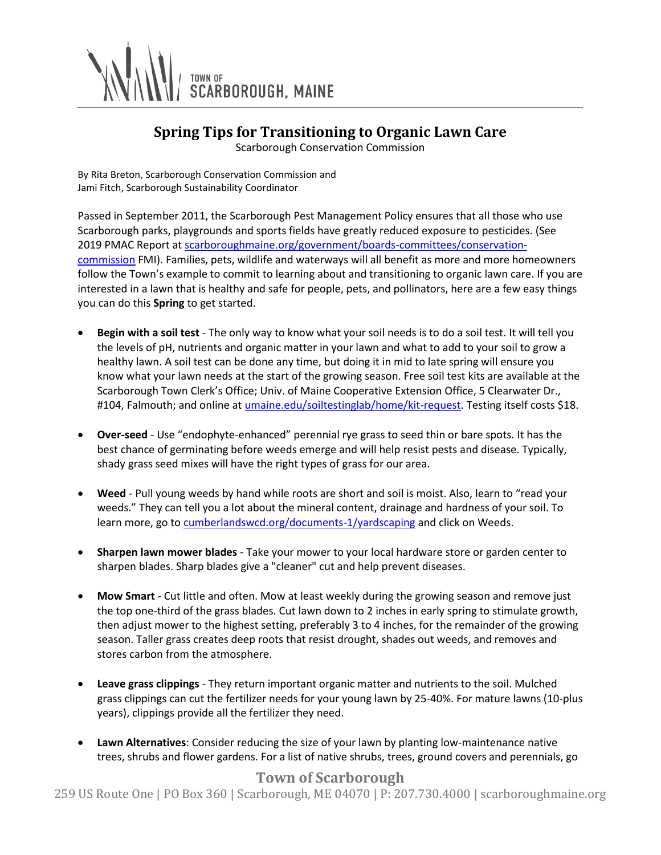

## **Spring Tips for Transitioning to Organic Lawn Care**

Scarborough Conservation Commission

By Rita Breton, Scarborough Conservation Commission and Jami Fitch, Scarborough Sustainability Coordinator

Passed in September 2011, the Scarborough Pest Management Policy ensures that all those who use Scarborough parks, playgrounds and sports fields have greatly reduced exposure to pesticides. (See 2019 PMAC Report at [scarboroughmaine.org/government/boards-committees/conservation](https://www.scarboroughmaine.org/government/boards-committees/conservation-commission)[commission](https://www.scarboroughmaine.org/government/boards-committees/conservation-commission) FMI). Families, pets, wildlife and waterways will all benefit as more and more homeowners follow the Town's example to commit to learning about and transitioning to organic lawn care. If you are interested in a lawn that is healthy and safe for people, pets, and pollinators, here are a few easy things you can do this **Spring** to get started.

- **Begin with a soil test** The only way to know what your soil needs is to do a soil test. It will tell you the levels of pH, nutrients and organic matter in your lawn and what to add to your soil to grow a healthy lawn. A soil test can be done any time, but doing it in mid to late spring will ensure you know what your lawn needs at the start of the growing season. Free soil test kits are available at the Scarborough Town Clerk's Office; Univ. of Maine Cooperative Extension Office, 5 Clearwater Dr., #104, Falmouth; and online a[t umaine.edu/soiltestinglab/home/kit-request.](http://www.umaine.edu/soiltestinglab/home/kit-request) Testing itself costs \$18.
- **Over-seed** Use "endophyte-enhanced" perennial rye grass to seed thin or bare spots. It has the best chance of germinating before weeds emerge and will help resist pests and disease. Typically, shady grass seed mixes will have the right types of grass for our area.
- **Weed** Pull young weeds by hand while roots are short and soil is moist. Also, learn to "read your weeds." They can tell you a lot about the mineral content, drainage and hardness of your soil. To learn more, go to [cumberlandswcd.org/documents-1/yardscaping](https://www.cumberlandswcd.org/documents-1/yardscaping) and click on Weeds.
- **Sharpen lawn mower blades** Take your mower to your local hardware store or garden center to sharpen blades. Sharp blades give a "cleaner" cut and help prevent diseases.
- **Mow Smart** Cut little and often. Mow at least weekly during the growing season and remove just the top one-third of the grass blades. Cut lawn down to 2 inches in early spring to stimulate growth, then adjust mower to the highest setting, preferably 3 to 4 inches, for the remainder of the growing season. Taller grass creates deep roots that resist drought, shades out weeds, and removes and stores carbon from the atmosphere.
- **Leave grass clippings** They return important organic matter and nutrients to the soil. Mulched grass clippings can cut the fertilizer needs for your young lawn by 25-40%. For mature lawns (10-plus years), clippings provide all the fertilizer they need.
- **Lawn Alternatives**: Consider reducing the size of your lawn by planting low-maintenance native trees, shrubs and flower gardens. For a list of native shrubs, trees, ground covers and perennials, go

## **Town of Scarborough**

259 US Route One | PO Box 360 | Scarborough, ME 04070 | P: 207.730.4000 | scarboroughmaine.org